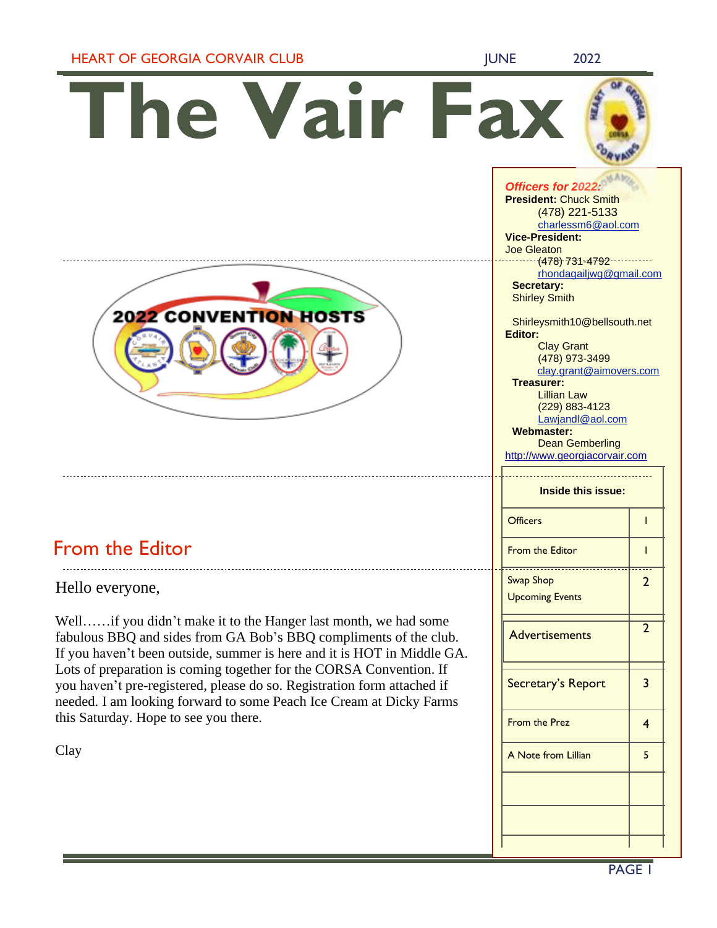### HEART OF GEORGIA CORVAIR CLUB JUNE 19922

**The Vair Fax**



# From the Editor

Hello everyone,

Well……if you didn't make it to the Hanger last month, we had some fabulous BBQ and sides from GA Bob's BBQ compliments of the club. If you haven't been outside, summer is here and it is HOT in Middle GA. Lots of preparation is coming together for the CORSA Convention. If you haven't pre-registered, please do so. Registration form attached if needed. I am looking forward to some Peach Ice Cream at Dicky Farms this Saturday. Hope to see you there.

Clay

*Officers for 2022:* **President:** Chuck Smith (478) 221-5133 [charlessm6@aol.com](mailto:charlessm6@aol.com) **Vice-President:** Joe Gleaton (478) 731-4792 [rhondagailjwg@gmail.com](mailto:rhondagailjwg@gmail.com) **Secretary:**  Shirley Smith Shirleysmith10@bellsouth.net **Editor:** Clay Grant (478) 973-3499 clay.grant@aimovers.com **Treasurer:** Lillian Law (229) 883-4123 [Lawjandl@aol.com](mailto:Lawjandl@aol.com) **Webmaster:** Dean Gemberling [http://www.georgiacorvair.com](http://www.georgiacorvair.com/) **Inside this issue:** Officers 1 1 From the Editor 1 Swap Shop Upcoming Events 2 **Advertisements** 2 Secretary's Report | 3 From the Prez 2012 A Note from Lillian 15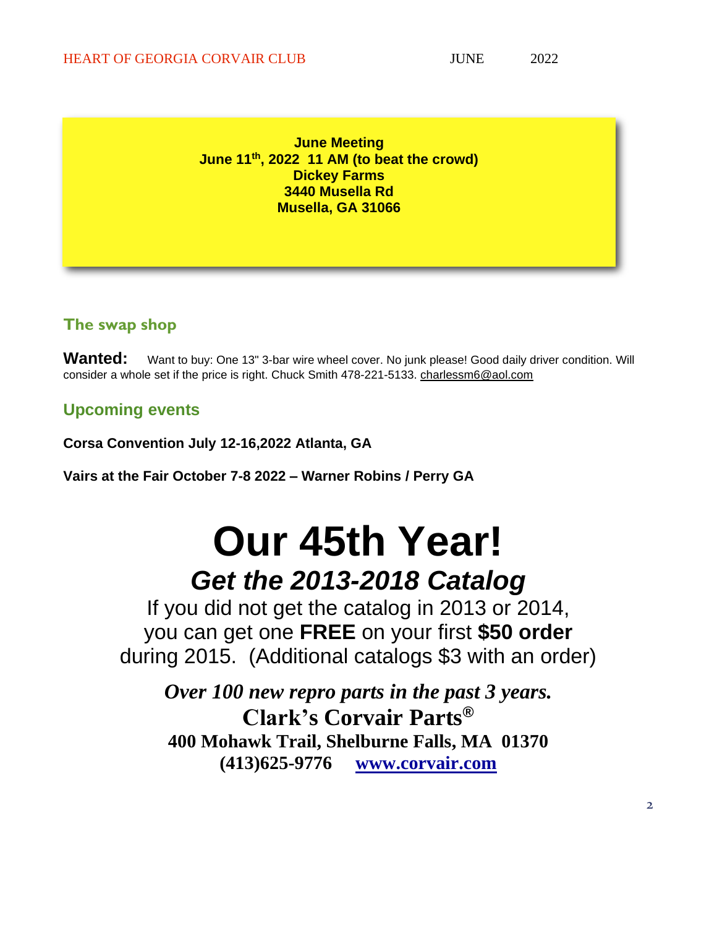**June Meeting June 11th , 2022 11 AM (to beat the crowd) Dickey Farms 3440 Musella Rd Musella, GA 31066**

### **The swap shop**

Wanted: Want to buy: One 13" 3-bar wire wheel cover. No junk please! Good daily driver condition. Will consider a whole set if the price is right. Chuck Smith 478-221-5133. [charlessm6@aol.com](mailto:charlessm6@aol.com)

## **Upcoming events**

**Corsa Convention July 12-16,2022 Atlanta, GA**

**Vairs at the Fair October 7-8 2022 – Warner Robins / Perry GA**

# **Our 45th Year!** *Get the 2013-2018 Catalog*

If you did not get the catalog in 2013 or 2014, you can get one **FREE** on your first **\$50 order** during 2015. (Additional catalogs \$3 with an order)

*Over 100 new repro parts in the past 3 years.* **Clark's Corvair Parts® 400 Mohawk Trail, Shelburne Falls, MA 01370 (413)625-9776 [www.corvair.com](http://www.corvair.com/)**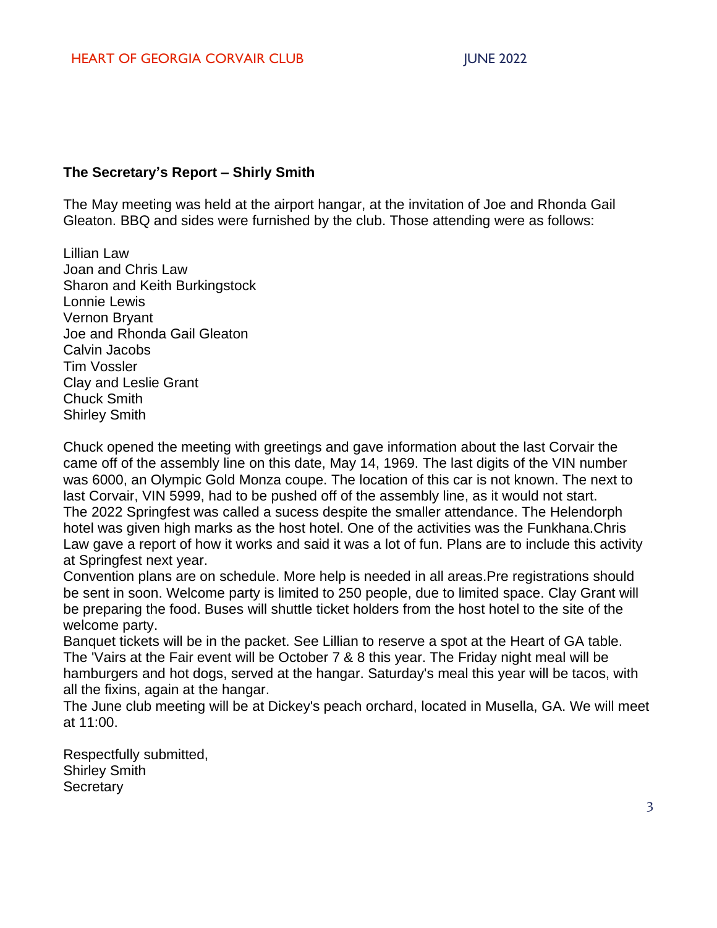### **The Secretary's Report – Shirly Smith**

The May meeting was held at the airport hangar, at the invitation of Joe and Rhonda Gail Gleaton. BBQ and sides were furnished by the club. Those attending were as follows:

Lillian Law Joan and Chris Law Sharon and Keith Burkingstock Lonnie Lewis Vernon Bryant Joe and Rhonda Gail Gleaton Calvin Jacobs Tim Vossler Clay and Leslie Grant Chuck Smith Shirley Smith

Chuck opened the meeting with greetings and gave information about the last Corvair the came off of the assembly line on this date, May 14, 1969. The last digits of the VIN number was 6000, an Olympic Gold Monza coupe. The location of this car is not known. The next to last Corvair, VIN 5999, had to be pushed off of the assembly line, as it would not start. The 2022 Springfest was called a sucess despite the smaller attendance. The Helendorph hotel was given high marks as the host hotel. One of the activities was the Funkhana.Chris Law gave a report of how it works and said it was a lot of fun. Plans are to include this activity at Springfest next year.

Convention plans are on schedule. More help is needed in all areas.Pre registrations should be sent in soon. Welcome party is limited to 250 people, due to limited space. Clay Grant will be preparing the food. Buses will shuttle ticket holders from the host hotel to the site of the welcome party.

Banquet tickets will be in the packet. See Lillian to reserve a spot at the Heart of GA table. The 'Vairs at the Fair event will be October 7 & 8 this year. The Friday night meal will be hamburgers and hot dogs, served at the hangar. Saturday's meal this year will be tacos, with all the fixins, again at the hangar.

The June club meeting will be at Dickey's peach orchard, located in Musella, GA. We will meet at 11:00.

Respectfully submitted, Shirley Smith **Secretary**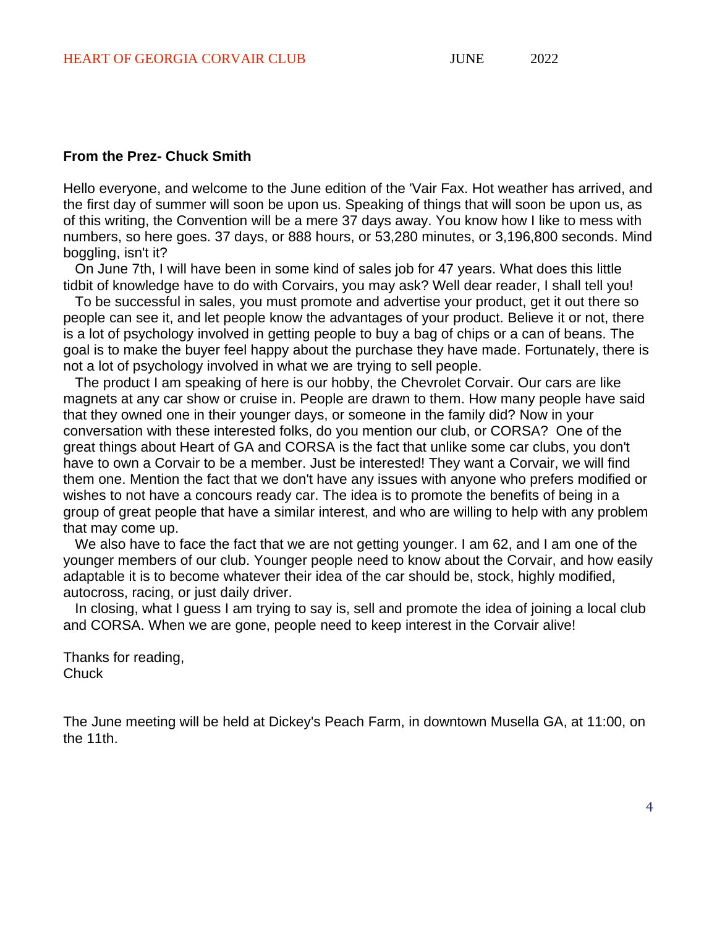#### **From the Prez- Chuck Smith**

Hello everyone, and welcome to the June edition of the 'Vair Fax. Hot weather has arrived, and the first day of summer will soon be upon us. Speaking of things that will soon be upon us, as of this writing, the Convention will be a mere 37 days away. You know how I like to mess with numbers, so here goes. 37 days, or 888 hours, or 53,280 minutes, or 3,196,800 seconds. Mind boggling, isn't it?

On June 7th, I will have been in some kind of sales job for 47 years. What does this little tidbit of knowledge have to do with Corvairs, you may ask? Well dear reader, I shall tell you!

To be successful in sales, you must promote and advertise your product, get it out there so people can see it, and let people know the advantages of your product. Believe it or not, there is a lot of psychology involved in getting people to buy a bag of chips or a can of beans. The goal is to make the buyer feel happy about the purchase they have made. Fortunately, there is not a lot of psychology involved in what we are trying to sell people.

The product I am speaking of here is our hobby, the Chevrolet Corvair. Our cars are like magnets at any car show or cruise in. People are drawn to them. How many people have said that they owned one in their younger days, or someone in the family did? Now in your conversation with these interested folks, do you mention our club, or CORSA? One of the great things about Heart of GA and CORSA is the fact that unlike some car clubs, you don't have to own a Corvair to be a member. Just be interested! They want a Corvair, we will find them one. Mention the fact that we don't have any issues with anyone who prefers modified or wishes to not have a concours ready car. The idea is to promote the benefits of being in a group of great people that have a similar interest, and who are willing to help with any problem that may come up.

We also have to face the fact that we are not getting younger. I am 62, and I am one of the younger members of our club. Younger people need to know about the Corvair, and how easily adaptable it is to become whatever their idea of the car should be, stock, highly modified, autocross, racing, or just daily driver.

In closing, what I guess I am trying to say is, sell and promote the idea of joining a local club and CORSA. When we are gone, people need to keep interest in the Corvair alive!

Thanks for reading, **Chuck** 

The June meeting will be held at Dickey's Peach Farm, in downtown Musella GA, at 11:00, on the 11th.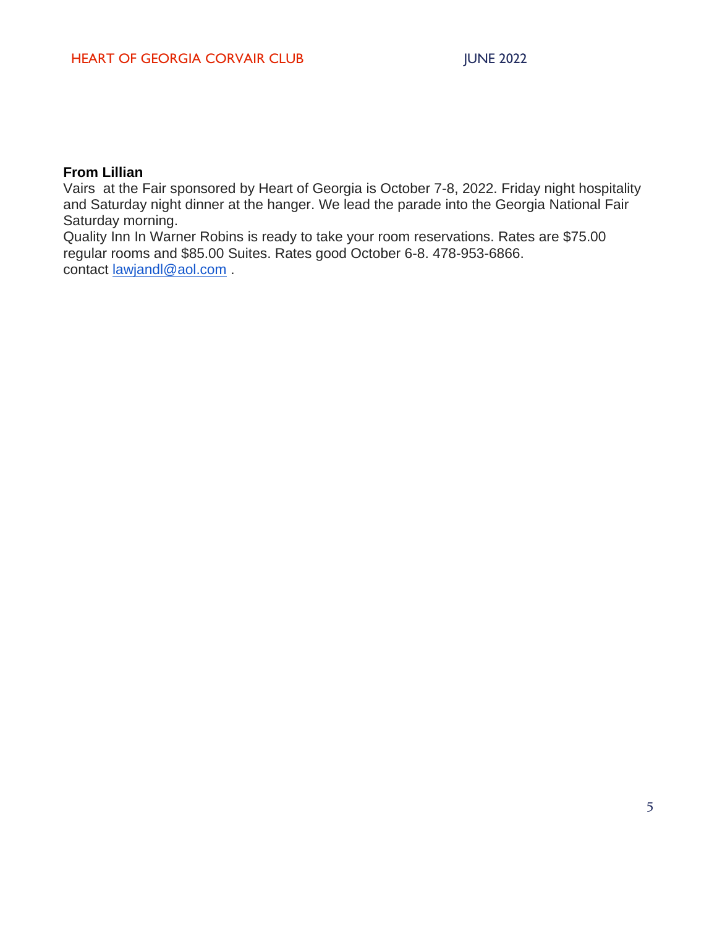### **From Lillian**

Vairs at the Fair sponsored by Heart of Georgia is October 7-8, 2022. Friday night hospitality and Saturday night dinner at the hanger. We lead the parade into the Georgia National Fair Saturday morning.

Quality Inn In Warner Robins is ready to take your room reservations. Rates are \$75.00 regular rooms and \$85.00 Suites. Rates good October 6-8. 478-953-6866. contact <u>[lawjandl@aol.com](mailto:lawjandl@aol.com)</u> .